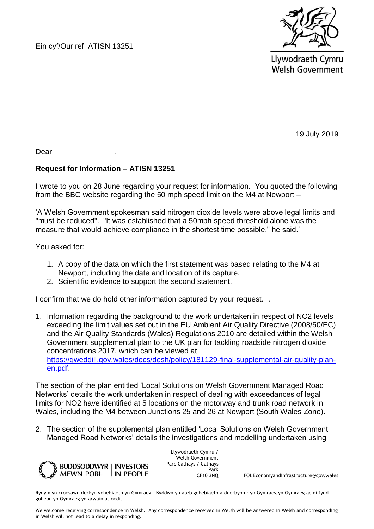Ein cyf/Our ref ATISN 13251



Llywodraeth Cymru **Welsh Government** 

19 July 2019

Dear ,

## **Request for Information – ATISN 13251**

I wrote to you on 28 June regarding your request for information. You quoted the following from the BBC website regarding the 50 mph speed limit on the M4 at Newport –

'A Welsh Government spokesman said nitrogen dioxide levels were above legal limits and "must be reduced". "It was established that a 50mph speed threshold alone was the measure that would achieve compliance in the shortest time possible," he said.'

You asked for:

- 1. A copy of the data on which the first statement was based relating to the M4 at Newport, including the date and location of its capture.
- 2. Scientific evidence to support the second statement.

I confirm that we do hold other information captured by your request. .

1. Information regarding the background to the work undertaken in respect of NO2 levels exceeding the limit values set out in the EU Ambient Air Quality Directive (2008/50/EC) and the Air Quality Standards (Wales) Regulations 2010 are detailed within the Welsh Government supplemental plan to the UK plan for tackling roadside nitrogen dioxide concentrations 2017, which can be viewed at [https://gweddill.gov.wales/docs/desh/policy/181129-final-supplemental-air-quality-plan](https://gweddill.gov.wales/docs/desh/policy/181129-final-supplemental-air-quality-plan-en.pdf)[en.pdf.](https://gweddill.gov.wales/docs/desh/policy/181129-final-supplemental-air-quality-plan-en.pdf)

The section of the plan entitled 'Local Solutions on Welsh Government Managed Road Networks' details the work undertaken in respect of dealing with exceedances of legal limits for NO2 have identified at 5 locations on the motorway and trunk road network in Wales, including the M4 between Junctions 25 and 26 at Newport (South Wales Zone).

2. The section of the supplemental plan entitled 'Local Solutions on Welsh Government Managed Road Networks' details the investigations and modelling undertaken using



Llywodraeth Cymru / Welsh Government Parc Cathays / Cathays Park

CF10 3NQ FOI.EconomyandInfrastructure@gov.wales

Rydym yn croesawu derbyn gohebiaeth yn Gymraeg. Byddwn yn ateb gohebiaeth a dderbynnir yn Gymraeg yn Gymraeg ac ni fydd gohebu yn Gymraeg yn arwain at oedi.

We welcome receiving correspondence in Welsh. Any correspondence received in Welsh will be answered in Welsh and corresponding in Welsh will not lead to a delay in responding.